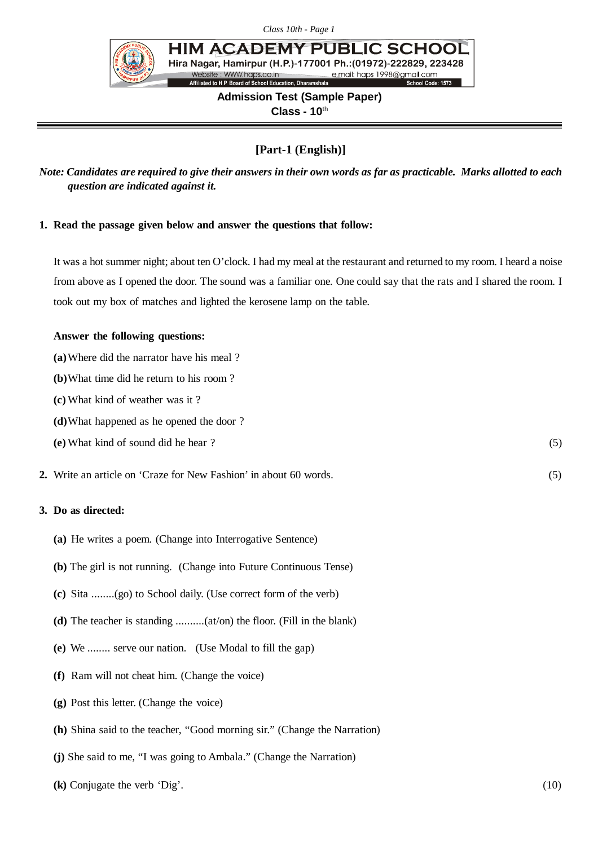

**HIM ACADEMY PUBL IC SCHOO** Hira Nagar, Hamirpur (H.P.)-177001 Ph.: (01972)-222829, 223428 Website: WWW.haps.co.in e mail: haps 1998@amail.com Affiliated to H.P. Board of School Education, Dharamshala

School Code: 1573

# **Admission Test (Sample Paper) Class - 10**th

# **[Part-1 (English)]**

*Note: Candidates are required to give their answers in their own words as far as practicable. Marks allotted to each question are indicated against it.*

#### **1. Read the passage given below and answer the questions that follow:**

It was a hot summer night; about ten O'clock. I had my meal at the restaurant and returned to my room. I heard a noise from above as I opened the door. The sound was a familiar one. One could say that the rats and I shared the room. I took out my box of matches and lighted the kerosene lamp on the table.

#### **Answer the following questions:**

- **(a)**Where did the narrator have his meal ?
- **(b)**What time did he return to his room ?
- **(c)** What kind of weather was it ?
- **(d)**What happened as he opened the door ?
- **(e)** What kind of sound did he hear ? (5)
- **2.** Write an article on 'Craze for New Fashion' in about 60 words. (5)

## **3. Do as directed:**

- **(a)** He writes a poem. (Change into Interrogative Sentence)
- **(b)** The girl is not running. (Change into Future Continuous Tense)
- **(c)** Sita ........(go) to School daily. (Use correct form of the verb)
- **(d)** The teacher is standing ..........(at/on) the floor. (Fill in the blank)
- **(e)** We ........ serve our nation. (Use Modal to fill the gap)
- **(f)** Ram will not cheat him. (Change the voice)
- **(g)** Post this letter. (Change the voice)
- **(h)** Shina said to the teacher, "Good morning sir." (Change the Narration)
- **(j)** She said to me, "I was going to Ambala." (Change the Narration)
- **(k)** Conjugate the verb 'Dig'. (10)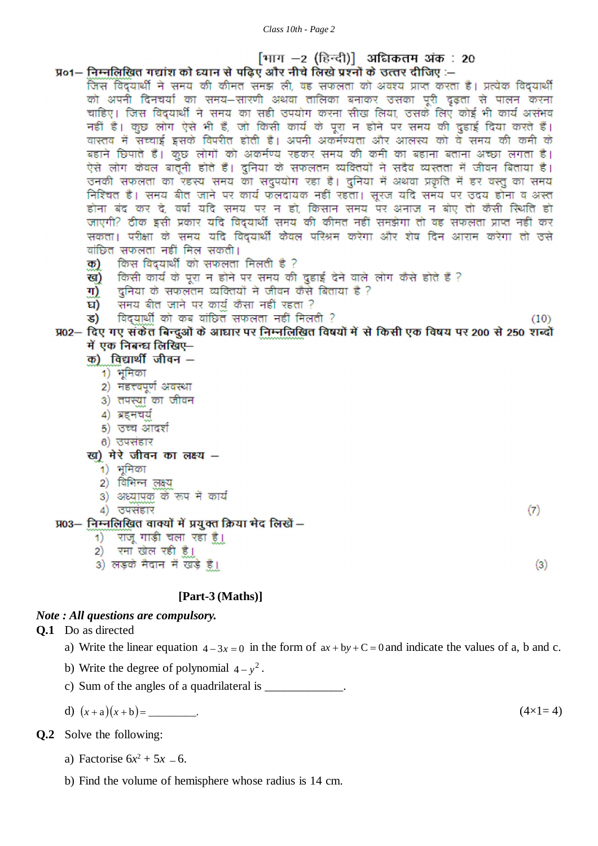## [भाग –2 (हिन्दी)] अधिकतम अंक : 20 प्र०1– निम्नलिखित गद्यांश को घ्यान से पढिए और नीचे लिखे प्रश्नों के उत्तर दीजिए :–

 $(10)$ 

 $(7)$ 

 $(3)$ 

- जिस विद्यार्थी ने समय की कीमत समझ ली, वह सफलता को अवश्य प्राप्त करता है। प्रत्येक विद्यार्थी को अपनी दिनचर्या का समय-सारणी अथवा तालिका बनाकर उसका पूरी दृढ़ता से पालन करना चाहिए। जिस विद्यार्थी ने समय का सही उपयोग करना सीख लिया, उसके लिए कोई भी कार्य असंभव नहीं है। कुछ लोग ऐसे भी हैं, जो किसी कार्य के पूरा न होने पर समय की दुहाई दिया करते हैं। वास्तव में सच्चाई इसके विपरीत होती है। अपनी अकर्मण्यता और आलस्य को वे समय की कमी के बहाने छिपाते हैं। कुछ लोगों को अकर्मण्य रहकर समय की कमी का बहाना बताना अच्छा लगता है। ऐसे लोग केवल बातूनी होते हैं। दुनिया के सफलतम व्यक्तियों ने सदैव व्यस्तता में जीवन बिताया है। उनकी सफलता का रहस्य समय का सदुपयोग रहा है। दुनिया में अथवा प्रकृति में हर वस्तु का समय निश्चित है। समय बीत जाने पर कार्य फलदायक नहीं रहता। सूरज यदि समय पर उदय होना व अस्त होना बंद कर दे, वर्षा यदि समय पर न हो, किसान समय पर अनाज न बोए तो कैसी स्थिति हो जाएगी? ठीक इसी प्रकार यदि विद्यार्थी समय की कीमत नहीं समझेगा तो वह सफलता प्राप्त नहीं कर सकता। परीक्षा के समय यदि विदयार्थी केवल परिश्रम करेगा और शेष दिन आराम करेगा तो उसे वांछित सफलता नहीं मिल सकती।
	- किस विद्यार्थी को सफलता मिलती है ? ক)
	- ख) किसी कार्य के पूरा न होने पर समय की दुहाई देने वाले लोग कैसे होते हैं ?
	- ग) दुनिया के सफलतम व्यक्तियों ने जीवन कैसे बिताया है ?
	- समय बीत जाने पर कार्य कैंसा नहीं रहता ? घ)
	- विदयार्थी को कब वांछित सफलता नहीं मिलती ? ड)
- प्र02— दिए गए संकेत बिन्दुओं के आघार पर निम्नलिखित विषयों में से किसी एक विषय पर 200 से 250 शब्दों में एक निबन्ध लिखिए—
	- क) विद्यार्थी जीवन -
		- 1) भूमिका
		- 2) महत्त्वपूर्ण अवस्था
		- 3) तपस्या का जीवन
		- 4) ब्रहमचर्य
		- 5) उच्च आदर्श
		- 6) उपसंहार
	- ख) मेरे जीवन का लक्ष्य -
		- $1)$  भूमिका
		- 2) विभिन्न लक्ष्य
		- 3) अध्यापक के रूप में कार्य
		- $4)$  उपसंहार

प्र03- निम्नलिखित वाक्यों में प्रयुक्त क्रिया मेद लिखें -

- 1) राजू गाड़ी चला रहा है।
- 2) रमा खेल रही है।
- 3) लड़के मैदान में खड़े हैं।

## **[Part-3 (Maths)]**

## *Note : All questions are compulsory.*

**Q.1** Do as directed

- a) Write the linear equation  $4 3x = 0$  in the form of  $ax + by + C = 0$  and indicate the values of a, b and c.
- b) Write the degree of polynomial  $4-y^2$ .
- c) Sum of the angles of a quadrilateral is \_\_\_\_\_\_\_\_\_\_\_\_.
- d)  $(x+a)(x+b) =$  (4×1= 4)

**Q.2** Solve the following:

- a) Factorise  $6x^2 + 5x 6$ .
- b) Find the volume of hemisphere whose radius is 14 cm.